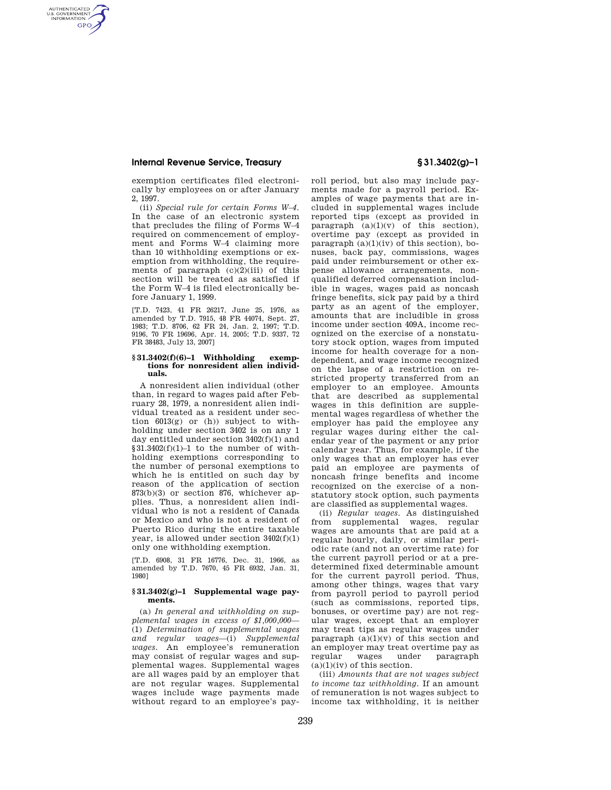# **Internal Revenue Service, Treasury § 31.3402(g)–1**

AUTHENTICATED<br>U.S. GOVERNMENT<br>INFORMATION **GPO** 

> exemption certificates filed electronically by employees on or after January 2, 1997.

(ii) *Special rule for certain Forms W–4.*  In the case of an electronic system that precludes the filing of Forms W–4 required on commencement of employment and Forms W–4 claiming more than 10 withholding exemptions or exemption from withholding, the requirements of paragraph  $(c)(2)(iii)$  of this section will be treated as satisfied if the Form W–4 is filed electronically before January 1, 1999.

[T.D. 7423, 41 FR 26217, June 25, 1976, as amended by T.D. 7915, 48 FR 44074, Sept. 27, 1983; T.D. 8706, 62 FR 24, Jan. 2, 1997; T.D. 9196, 70 FR 19696, Apr. 14, 2005; T.D. 9337, 72 FR 38483, July 13, 2007]

#### **§ 31.3402(f)(6)–1 Withholding exemptions for nonresident alien individuals.**

A nonresident alien individual (other than, in regard to wages paid after February 28, 1979, a nonresident alien individual treated as a resident under section  $6013(g)$  or (h)) subject to withholding under section 3402 is on any 1 day entitled under section 3402(f)(1) and  $§31.3402(f)(1)-1$  to the number of withholding exemptions corresponding to the number of personal exemptions to which he is entitled on such day by reason of the application of section 873(b)(3) or section 876, whichever applies. Thus, a nonresident alien individual who is not a resident of Canada or Mexico and who is not a resident of Puerto Rico during the entire taxable year, is allowed under section 3402(f)(1) only one withholding exemption.

[T.D. 6908, 31 FR 16776, Dec. 31, 1966, as amended by T.D. 7670, 45 FR 6932, Jan. 31, 1980]

### **§ 31.3402(g)–1 Supplemental wage payments.**

(a) *In general and withholding on supplemental wages in excess of \$1,000,000*— (1) *Determination of supplemental wages and regular wages*—(i) *Supplemental wages.* An employee's remuneration may consist of regular wages and supplemental wages. Supplemental wages are all wages paid by an employer that are not regular wages. Supplemental wages include wage payments made without regard to an employee's pay-

roll period, but also may include payments made for a payroll period. Examples of wage payments that are included in supplemental wages include reported tips (except as provided in paragraph  $(a)(1)(v)$  of this section), overtime pay (except as provided in paragraph  $(a)(1)(iv)$  of this section), bonuses, back pay, commissions, wages paid under reimbursement or other expense allowance arrangements, nonqualified deferred compensation includible in wages, wages paid as noncash fringe benefits, sick pay paid by a third party as an agent of the employer, amounts that are includible in gross income under section 409A, income recognized on the exercise of a nonstatutory stock option, wages from imputed income for health coverage for a nondependent, and wage income recognized on the lapse of a restriction on restricted property transferred from an employer to an employee. Amounts that are described as supplemental wages in this definition are supplemental wages regardless of whether the employer has paid the employee any regular wages during either the calendar year of the payment or any prior calendar year. Thus, for example, if the only wages that an employer has ever paid an employee are payments of noncash fringe benefits and income recognized on the exercise of a nonstatutory stock option, such payments are classified as supplemental wages.

(ii) *Regular wages.* As distinguished from supplemental wages, regular wages are amounts that are paid at a regular hourly, daily, or similar periodic rate (and not an overtime rate) for the current payroll period or at a predetermined fixed determinable amount for the current payroll period. Thus, among other things, wages that vary from payroll period to payroll period (such as commissions, reported tips, bonuses, or overtime pay) are not regular wages, except that an employer may treat tips as regular wages under paragraph  $(a)(1)(v)$  of this section and an employer may treat overtime pay as paragraph  $(a)(1)(iv)$  of this section.

(iii) *Amounts that are not wages subject to income tax withholding.* If an amount of remuneration is not wages subject to income tax withholding, it is neither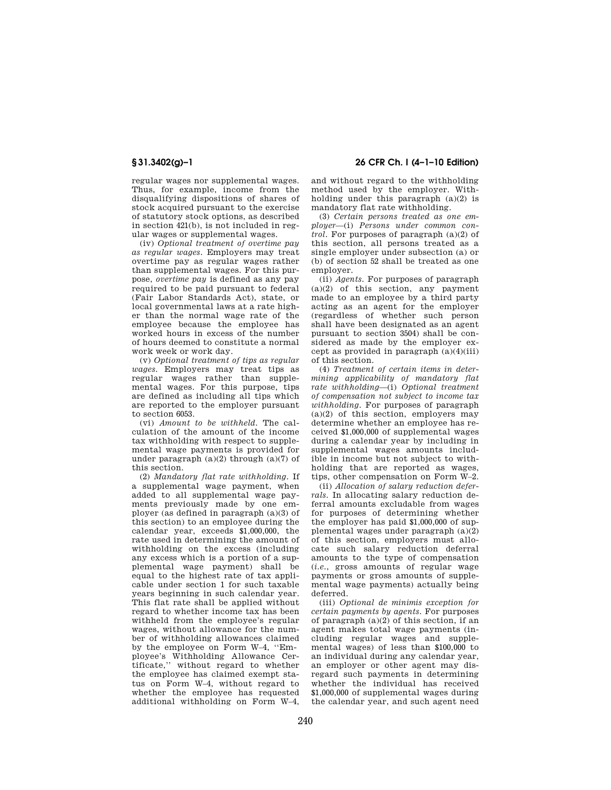regular wages nor supplemental wages. Thus, for example, income from the disqualifying dispositions of shares of stock acquired pursuant to the exercise of statutory stock options, as described in section 421(b), is not included in regular wages or supplemental wages.

(iv) *Optional treatment of overtime pay as regular wages.* Employers may treat overtime pay as regular wages rather than supplemental wages. For this purpose, *overtime pay* is defined as any pay required to be paid pursuant to federal (Fair Labor Standards Act), state, or local governmental laws at a rate higher than the normal wage rate of the employee because the employee has worked hours in excess of the number of hours deemed to constitute a normal work week or work day.

(v) *Optional treatment of tips as regular wages.* Employers may treat tips as regular wages rather than supplemental wages. For this purpose, tips are defined as including all tips which are reported to the employer pursuant to section 6053.

(vi) *Amount to be withheld.* The calculation of the amount of the income tax withholding with respect to supplemental wage payments is provided for under paragraph  $(a)(2)$  through  $(a)(7)$  of this section.

(2) *Mandatory flat rate withholding.* If a supplemental wage payment, when added to all supplemental wage payments previously made by one employer (as defined in paragraph (a)(3) of this section) to an employee during the calendar year, exceeds \$1,000,000, the rate used in determining the amount of withholding on the excess (including any excess which is a portion of a supplemental wage payment) shall be equal to the highest rate of tax applicable under section 1 for such taxable years beginning in such calendar year. This flat rate shall be applied without regard to whether income tax has been withheld from the employee's regular wages, without allowance for the number of withholding allowances claimed by the employee on Form W–4, ''Employee's Withholding Allowance Certificate,'' without regard to whether the employee has claimed exempt status on Form W–4, without regard to whether the employee has requested additional withholding on Form W–4,

**§ 31.3402(g)–1 26 CFR Ch. I (4–1–10 Edition)** 

and without regard to the withholding method used by the employer. Withholding under this paragraph (a)(2) is mandatory flat rate withholding.

(3) *Certain persons treated as one employer*—(i) *Persons under common control.* For purposes of paragraph (a)(2) of this section, all persons treated as a single employer under subsection (a) or (b) of section 52 shall be treated as one employer.

(ii) *Agents.* For purposes of paragraph  $(a)(2)$  of this section, any payment made to an employee by a third party acting as an agent for the employer (regardless of whether such person shall have been designated as an agent pursuant to section 3504) shall be considered as made by the employer except as provided in paragraph  $(a)(4)(iii)$ of this section.

(4) *Treatment of certain items in determining applicability of mandatory flat rate withholding*—(i) *Optional treatment of compensation not subject to income tax withholding.* For purposes of paragraph  $(a)(2)$  of this section, employers may determine whether an employee has received \$1,000,000 of supplemental wages during a calendar year by including in supplemental wages amounts includible in income but not subject to withholding that are reported as wages, tips, other compensation on Form W–2.

(ii) *Allocation of salary reduction deferrals.* In allocating salary reduction deferral amounts excludable from wages for purposes of determining whether the employer has paid \$1,000,000 of supplemental wages under paragraph (a)(2) of this section, employers must allocate such salary reduction deferral amounts to the type of compensation (*i.e.*, gross amounts of regular wage payments or gross amounts of supplemental wage payments) actually being deferred.

(iii) *Optional de minimis exception for certain payments by agents.* For purposes of paragraph (a)(2) of this section, if an agent makes total wage payments (including regular wages and supplemental wages) of less than \$100,000 to an individual during any calendar year, an employer or other agent may disregard such payments in determining whether the individual has received \$1,000,000 of supplemental wages during the calendar year, and such agent need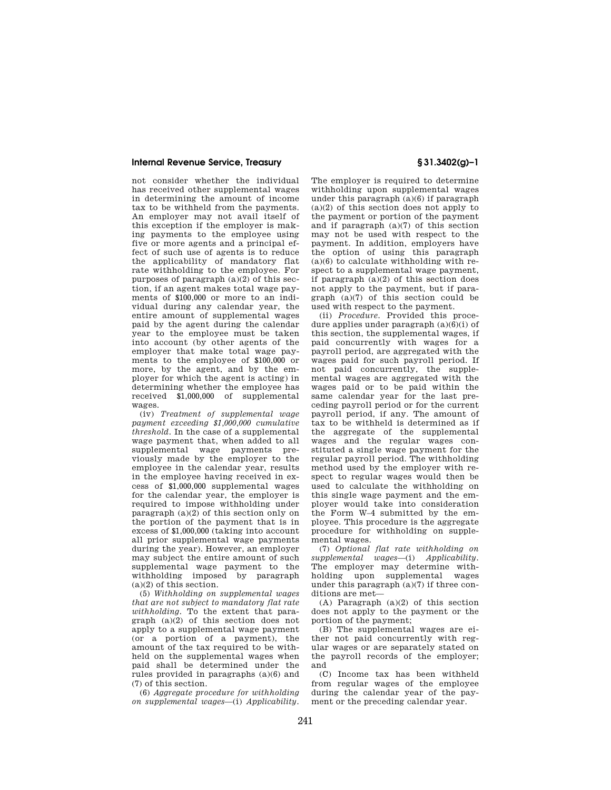## **Internal Revenue Service, Treasury § 31.3402(g)–1**

not consider whether the individual has received other supplemental wages in determining the amount of income tax to be withheld from the payments. An employer may not avail itself of this exception if the employer is making payments to the employee using five or more agents and a principal effect of such use of agents is to reduce the applicability of mandatory flat rate withholding to the employee. For purposes of paragraph  $(a)(2)$  of this section, if an agent makes total wage payments of \$100,000 or more to an individual during any calendar year, the entire amount of supplemental wages paid by the agent during the calendar year to the employee must be taken into account (by other agents of the employer that make total wage payments to the employee of \$100,000 or more, by the agent, and by the employer for which the agent is acting) in determining whether the employee has received \$1,000,000 of supplemental wages.

(iv) *Treatment of supplemental wage payment exceeding \$1,000,000 cumulative threshold.* In the case of a supplemental wage payment that, when added to all supplemental wage payments previously made by the employer to the employee in the calendar year, results in the employee having received in excess of \$1,000,000 supplemental wages for the calendar year, the employer is required to impose withholding under paragraph (a)(2) of this section only on the portion of the payment that is in excess of \$1,000,000 (taking into account all prior supplemental wage payments during the year). However, an employer may subject the entire amount of such supplemental wage payment to the withholding imposed by paragraph  $(a)(2)$  of this section.

(5) *Withholding on supplemental wages that are not subject to mandatory flat rate withholding.* To the extent that paragraph (a)(2) of this section does not apply to a supplemental wage payment (or a portion of a payment), the amount of the tax required to be withheld on the supplemental wages when paid shall be determined under the rules provided in paragraphs (a)(6) and (7) of this section.

(6) *Aggregate procedure for withholding on supplemental wages*—(i) *Applicability.*  The employer is required to determine withholding upon supplemental wages under this paragraph  $(a)(6)$  if paragraph (a)(2) of this section does not apply to the payment or portion of the payment and if paragraph (a)(7) of this section may not be used with respect to the payment. In addition, employers have the option of using this paragraph  $(a)(6)$  to calculate withholding with respect to a supplemental wage payment, if paragraph (a)(2) of this section does not apply to the payment, but if paragraph (a)(7) of this section could be used with respect to the payment.

(ii) *Procedure.* Provided this procedure applies under paragraph  $(a)(6)(i)$  of this section, the supplemental wages, if paid concurrently with wages for a payroll period, are aggregated with the wages paid for such payroll period. If not paid concurrently, the supplemental wages are aggregated with the wages paid or to be paid within the same calendar year for the last preceding payroll period or for the current payroll period, if any. The amount of tax to be withheld is determined as if the aggregate of the supplemental wages and the regular wages constituted a single wage payment for the regular payroll period. The withholding method used by the employer with respect to regular wages would then be used to calculate the withholding on this single wage payment and the employer would take into consideration the Form W–4 submitted by the employee. This procedure is the aggregate procedure for withholding on supplemental wages.

(7) *Optional flat rate withholding on supplemental wages*—(i) *Applicability.*  The employer may determine withholding upon supplemental wages under this paragraph (a)(7) if three conditions are met—

(A) Paragraph (a)(2) of this section does not apply to the payment or the portion of the payment;

(B) The supplemental wages are either not paid concurrently with regular wages or are separately stated on the payroll records of the employer; and

(C) Income tax has been withheld from regular wages of the employee during the calendar year of the payment or the preceding calendar year.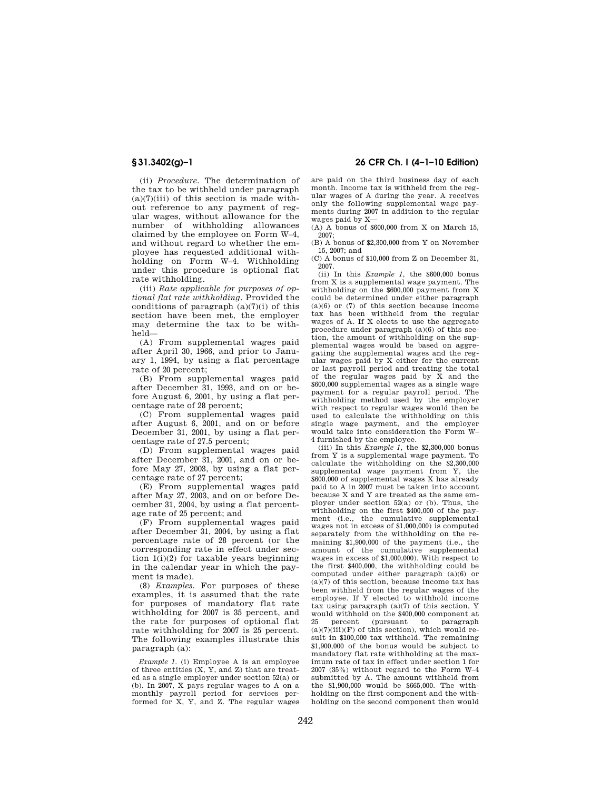(ii) *Procedure.* The determination of the tax to be withheld under paragraph  $(a)(7)(iii)$  of this section is made without reference to any payment of regular wages, without allowance for the number of withholding allowances claimed by the employee on Form W–4, and without regard to whether the employee has requested additional withholding on Form W–4. Withholding under this procedure is optional flat rate withholding.

(iii) *Rate applicable for purposes of optional flat rate withholding.* Provided the conditions of paragraph  $(a)(7)(i)$  of this section have been met, the employer may determine the tax to be withheld—

(A) From supplemental wages paid after April 30, 1966, and prior to January 1, 1994, by using a flat percentage rate of 20 percent;

(B) From supplemental wages paid after December 31, 1993, and on or before August 6, 2001, by using a flat percentage rate of 28 percent;

(C) From supplemental wages paid after August 6, 2001, and on or before December 31, 2001, by using a flat percentage rate of 27.5 percent;

(D) From supplemental wages paid after December 31, 2001, and on or before May 27, 2003, by using a flat percentage rate of 27 percent;

(E) From supplemental wages paid after May 27, 2003, and on or before December 31, 2004, by using a flat percentage rate of 25 percent; and

(F) From supplemental wages paid after December 31, 2004, by using a flat percentage rate of 28 percent (or the corresponding rate in effect under section  $1(i)(2)$  for taxable years beginning in the calendar year in which the payment is made).

(8) *Examples.* For purposes of these examples, it is assumed that the rate for purposes of mandatory flat rate withholding for 2007 is 35 percent, and the rate for purposes of optional flat rate withholding for 2007 is 25 percent. The following examples illustrate this paragraph (a):

*Example 1.* (i) Employee A is an employee of three entities (X, Y, and Z) that are treated as a single employer under section 52(a) or (b). In 2007, X pays regular wages to A on a monthly payroll period for services performed for X, Y, and Z. The regular wages

# **§ 31.3402(g)–1 26 CFR Ch. I (4–1–10 Edition)**

are paid on the third business day of each month. Income tax is withheld from the regular wages of A during the year. A receives only the following supplemental wage payments during 2007 in addition to the regular wages paid by X—

(A) A bonus of \$600,000 from X on March 15, 2007;

(B) A bonus of \$2,300,000 from Y on November 15, 2007; and

(C) A bonus of \$10,000 from Z on December 31, 2007.

(ii) In this *Example 1*, the \$600,000 bonus from X is a supplemental wage payment. The withholding on the \$600,000 payment from X could be determined under either paragraph  $(a)(6)$  or  $(7)$  of this section because income tax has been withheld from the regular wages of A. If X elects to use the aggregate procedure under paragraph (a)(6) of this section, the amount of withholding on the supplemental wages would be based on aggregating the supplemental wages and the regular wages paid by X either for the current or last payroll period and treating the total of the regular wages paid by  $\bar{X}$  and the \$600,000 supplemental wages as a single wage payment for a regular payroll period. The withholding method used by the employer with respect to regular wages would then be used to calculate the withholding on this single wage payment, and the employer would take into consideration the Form W– 4 furnished by the employee.

(iii) In this *Example 1*, the \$2,300,000 bonus from Y is a supplemental wage payment. To calculate the withholding on the \$2,300,000 supplemental wage payment from Y, the \$600,000 of supplemental wages X has already paid to A in 2007 must be taken into account because X and Y are treated as the same employer under section 52(a) or (b). Thus, the withholding on the first \$400,000 of the payment (i.e., the cumulative supplemental wages not in excess of \$1,000,000) is computed separately from the withholding on the remaining \$1,900,000 of the payment (i.e., the amount of the cumulative supplemental wages in excess of \$1,000,000). With respect to the first \$400,000, the withholding could be computed under either paragraph (a)(6) or (a)(7) of this section, because income tax has been withheld from the regular wages of the employee. If Y elected to withhold income tax using paragraph  $(a)(7)$  of this section, Y would withhold on the \$400,000 component at 25 percent (pursuant to paragraph  $(a)(7)(iii)(F)$  of this section), which would result in \$100,000 tax withheld. The remaining \$1,900,000 of the bonus would be subject to mandatory flat rate withholding at the maximum rate of tax in effect under section 1 for 2007 (35%) without regard to the Form W–4 submitted by A. The amount withheld from the \$1,900,000 would be \$665,000. The withholding on the first component and the withholding on the second component then would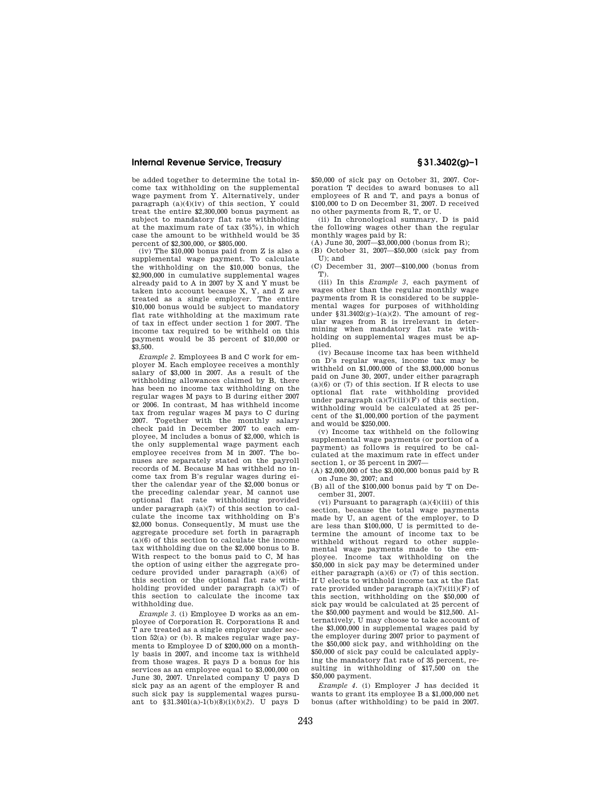## **Internal Revenue Service, Treasury § 31.3402(g)–1**

be added together to determine the total income tax withholding on the supplemental wage payment from Y. Alternatively, under paragraph (a)(4)(iv) of this section, Y could treat the entire \$2,300,000 bonus payment as subject to mandatory flat rate withholding at the maximum rate of tax (35%), in which case the amount to be withheld would be 35 percent of \$2,300,000, or \$805,000.

(iv) The \$10,000 bonus paid from Z is also a supplemental wage payment. To calculate the withholding on the \$10,000 bonus, the \$2,900,000 in cumulative supplemental wages already paid to A in 2007 by X and Y must be taken into account because X, Y, and Z are treated as a single employer. The entire \$10,000 bonus would be subject to mandatory flat rate withholding at the maximum rate of tax in effect under section 1 for 2007. The income tax required to be withheld on this payment would be 35 percent of \$10,000 or \$3,500.

*Example 2.* Employees B and C work for employer M. Each employee receives a monthly salary of \$3,000 in 2007. As a result of the withholding allowances claimed by B, there has been no income tax withholding on the regular wages M pays to B during either 2007 or 2006. In contrast, M has withheld income tax from regular wages M pays to C during 2007. Together with the monthly salary check paid in December 2007 to each employee, M includes a bonus of \$2,000, which is the only supplemental wage payment each employee receives from M in 2007. The bonuses are separately stated on the payroll records of M. Because M has withheld no income tax from B's regular wages during either the calendar year of the \$2,000 bonus or the preceding calendar year, M cannot use optional flat rate withholding provided under paragraph (a)(7) of this section to calculate the income tax withholding on B's \$2,000 bonus. Consequently, M must use the aggregate procedure set forth in paragraph (a)(6) of this section to calculate the income tax withholding due on the \$2,000 bonus to B. With respect to the bonus paid to C, M has the option of using either the aggregate procedure provided under paragraph (a)(6) of this section or the optional flat rate withholding provided under paragraph (a)(7) of this section to calculate the income tax withholding due.

*Example 3.* (i) Employee D works as an employee of Corporation R. Corporations R and T are treated as a single employer under section 52(a) or (b). R makes regular wage payments to Employee D of \$200,000 on a monthly basis in 2007, and income tax is withheld from those wages. R pays D a bonus for his services as an employee equal to \$3,000,000 on June 30, 2007. Unrelated company U pays D sick pay as an agent of the employer R and such sick pay is supplemental wages pursuant to §31.3401(a)-1(b)(8)(i)(*b*)(*2*). U pays D

\$50,000 of sick pay on October 31, 2007. Corporation T decides to award bonuses to all employees of R and T, and pays a bonus of \$100,000 to D on December 31, 2007. D received no other payments from R, T, or U.

(ii) In chronological summary, D is paid the following wages other than the regular monthly wages paid by R:

 $(A)$  June 30, 2007 $-$ \$3,000,000 (bonus from R);

(B) October 31, 2007—\$50,000 (sick pay from U); and

(C) December 31, 2007—\$100,000 (bonus from T).

(iii) In this *Example 3*, each payment of wages other than the regular monthly wage payments from R is considered to be supplemental wages for purposes of withholding under  $$31.3402(g)-1(a)(2)$ . The amount of regular wages from R is irrelevant in determining when mandatory flat rate withholding on supplemental wages must be applied.

(iv) Because income tax has been withheld on D's regular wages, income tax may be withheld on \$1,000,000 of the \$3,000,000 bonus paid on June 30, 2007, under either paragraph (a)(6) or (7) of this section. If R elects to use optional flat rate withholding provided under paragraph  $(a)(7)(iii)(F)$  of this section, withholding would be calculated at 25 percent of the \$1,000,000 portion of the payment and would be \$250,000.

(v) Income tax withheld on the following supplemental wage payments (or portion of a payment) as follows is required to be calculated at the maximum rate in effect under section 1, or 35 percent in 2007—

(A) \$2,000,000 of the \$3,000,000 bonus paid by R on June 30, 2007; and

(B) all of the \$100,000 bonus paid by T on December 31, 2007.

(vi) Pursuant to paragraph (a)(4)(iii) of this section, because the total wage payments made by U, an agent of the employer, to D are less than \$100,000, U is permitted to determine the amount of income tax to be withheld without regard to other supplemental wage payments made to the employee. Income tax withholding on the \$50,000 in sick pay may be determined under either paragraph (a)(6) or (7) of this section. If U elects to withhold income tax at the flat rate provided under paragraph (a)(7)(iii)(F) of this section, withholding on the \$50,000 of sick pay would be calculated at 25 percent of the \$50,000 payment and would be \$12,500. Alternatively, U may choose to take account of the \$3,000,000 in supplemental wages paid by the employer during 2007 prior to payment of the \$50,000 sick pay, and withholding on the \$50,000 of sick pay could be calculated applying the mandatory flat rate of 35 percent, resulting in withholding of \$17,500 on the \$50,000 payment.

*Example 4.* (i) Employer J has decided it wants to grant its employee B a \$1,000,000 net bonus (after withholding) to be paid in 2007.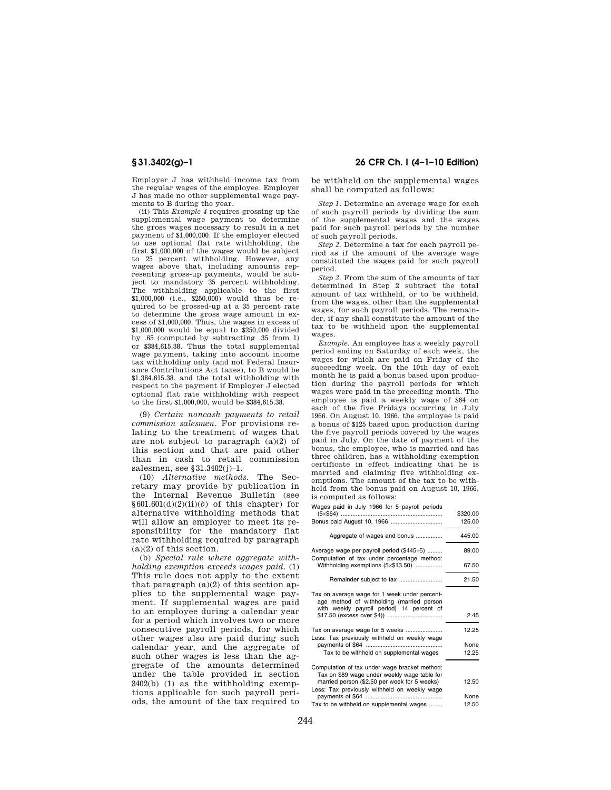Employer J has withheld income tax from the regular wages of the employee. Employer J has made no other supplemental wage payments to B during the year.

(ii) This *Example 4* requires grossing up the supplemental wage payment to determine the gross wages necessary to result in a net payment of \$1,000,000. If the employer elected to use optional flat rate withholding, the first \$1,000,000 of the wages would be subject to 25 percent withholding. However, any wages above that, including amounts representing gross-up payments, would be subject to mandatory 35 percent withholding. The withholding applicable to the first \$1,000,000 (i.e., \$250,000) would thus be required to be grossed-up at a 35 percent rate to determine the gross wage amount in excess of \$1,000,000. Thus, the wages in excess of \$1,000,000 would be equal to \$250,000 divided by .65 (computed by subtracting .35 from 1) or \$384,615.38. Thus the total supplemental wage payment, taking into account income tax withholding only (and not Federal Insurance Contributions Act taxes), to B would be \$1,384,615.38, and the total withholding with respect to the payment if Employer J elected optional flat rate withholding with respect to the first \$1,000,000, would be \$384,615.38.

(9) *Certain noncash payments to retail commission salesmen.* For provisions relating to the treatment of wages that are not subject to paragraph (a)(2) of this section and that are paid other than in cash to retail commission salesmen, see §31.3402(j)–1.

(10) *Alternative methods.* The Secretary may provide by publication in the Internal Revenue Bulletin (see  $§601.601(d)(2)(ii)(b)$  of this chapter) for alternative withholding methods that will allow an employer to meet its responsibility for the mandatory flat rate withholding required by paragraph (a)(2) of this section.

(b) *Special rule where aggregate withholding exemption exceeds wages paid.* (1) This rule does not apply to the extent that paragraph  $(a)(2)$  of this section applies to the supplemental wage payment. If supplemental wages are paid to an employee during a calendar year for a period which involves two or more consecutive payroll periods, for which other wages also are paid during such calendar year, and the aggregate of such other wages is less than the aggregate of the amounts determined under the table provided in section 3402(b) (1) as the withholding exemptions applicable for such payroll periods, the amount of the tax required to

**§ 31.3402(g)–1 26 CFR Ch. I (4–1–10 Edition)** 

be withheld on the supplemental wages shall be computed as follows:

*Step 1.* Determine an average wage for each of such payroll periods by dividing the sum of the supplemental wages and the wages paid for such payroll periods by the number of such payroll periods.

*Step 2.* Determine a tax for each payroll period as if the amount of the average wage constituted the wages paid for such payroll period.

*Step 3.* From the sum of the amounts of tax determined in Step 2 subtract the total amount of tax withheld, or to be withheld, from the wages, other than the supplemental wages, for such payroll periods. The remainder, if any shall constitute the amount of the tax to be withheld upon the supplemental wages.

*Example.* An employee has a weekly payroll period ending on Saturday of each week, the wages for which are paid on Friday of the succeeding week. On the 10th day of each month he is paid a bonus based upon production during the payroll periods for which wages were paid in the preceding month. The employee is paid a weekly wage of \$64 on each of the five Fridays occurring in July 1966. On August 10, 1966, the employee is paid a bonus of \$125 based upon production during the five payroll periods covered by the wages paid in July. On the date of payment of the bonus, the employee, who is married and has three children, has a withholding exemption certificate in effect indicating that he is married and claiming five withholding exemptions. The amount of the tax to be withheld from the bonus paid on August 10, 1966, is computed as follows:

Wages paid in July 1966 for 5 payroll periods

|                                                                                                                                         | \$320.00 |
|-----------------------------------------------------------------------------------------------------------------------------------------|----------|
| Bonus paid August 10, 1966                                                                                                              | 125.00   |
| Aggregate of wages and bonus                                                                                                            | 445.00   |
| Average wage per payroll period (\$445÷5)<br>Computation of tax under percentage method:                                                | 89.00    |
| Withholding exemptions (5x\$13.50)                                                                                                      | 67.50    |
|                                                                                                                                         | 21.50    |
| Tax on average wage for 1 week under percent-<br>age method of withholding (married person<br>with weekly payroll period) 14 percent of |          |
|                                                                                                                                         | 2.45     |
| Tax on average wage for 5 weeks<br>Less: Tax previously withheld on weekly wage                                                         | 12.25    |
|                                                                                                                                         | None     |
| Tax to be withheld on supplemental wages                                                                                                | 12.25    |
| Computation of tax under wage bracket method:<br>Tax on \$89 wage under weekly wage table for                                           |          |
| married person (\$2.50 per week for 5 weeks)                                                                                            | 12.50    |
| Less: Tax previously withheld on weekly wage                                                                                            |          |
|                                                                                                                                         | None     |
| Tax to be withheld on supplemental wages                                                                                                | 12.50    |